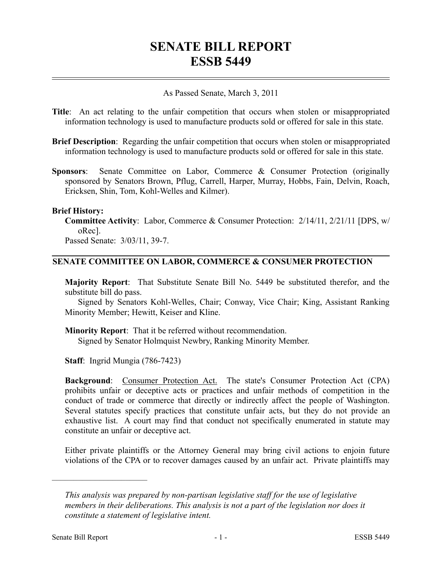# **SENATE BILL REPORT ESSB 5449**

#### As Passed Senate, March 3, 2011

- **Title**: An act relating to the unfair competition that occurs when stolen or misappropriated information technology is used to manufacture products sold or offered for sale in this state.
- **Brief Description**: Regarding the unfair competition that occurs when stolen or misappropriated information technology is used to manufacture products sold or offered for sale in this state.
- **Sponsors**: Senate Committee on Labor, Commerce & Consumer Protection (originally sponsored by Senators Brown, Pflug, Carrell, Harper, Murray, Hobbs, Fain, Delvin, Roach, Ericksen, Shin, Tom, Kohl-Welles and Kilmer).

#### **Brief History:**

**Committee Activity**: Labor, Commerce & Consumer Protection: 2/14/11, 2/21/11 [DPS, w/ oRec].

Passed Senate: 3/03/11, 39-7.

## **SENATE COMMITTEE ON LABOR, COMMERCE & CONSUMER PROTECTION**

**Majority Report**: That Substitute Senate Bill No. 5449 be substituted therefor, and the substitute bill do pass.

Signed by Senators Kohl-Welles, Chair; Conway, Vice Chair; King, Assistant Ranking Minority Member; Hewitt, Keiser and Kline.

**Minority Report**: That it be referred without recommendation. Signed by Senator Holmquist Newbry, Ranking Minority Member.

**Staff**: Ingrid Mungia (786-7423)

**Background:** Consumer Protection Act. The state's Consumer Protection Act (CPA) prohibits unfair or deceptive acts or practices and unfair methods of competition in the conduct of trade or commerce that directly or indirectly affect the people of Washington. Several statutes specify practices that constitute unfair acts, but they do not provide an exhaustive list. A court may find that conduct not specifically enumerated in statute may constitute an unfair or deceptive act.

Either private plaintiffs or the Attorney General may bring civil actions to enjoin future violations of the CPA or to recover damages caused by an unfair act. Private plaintiffs may

––––––––––––––––––––––

*This analysis was prepared by non-partisan legislative staff for the use of legislative members in their deliberations. This analysis is not a part of the legislation nor does it constitute a statement of legislative intent.*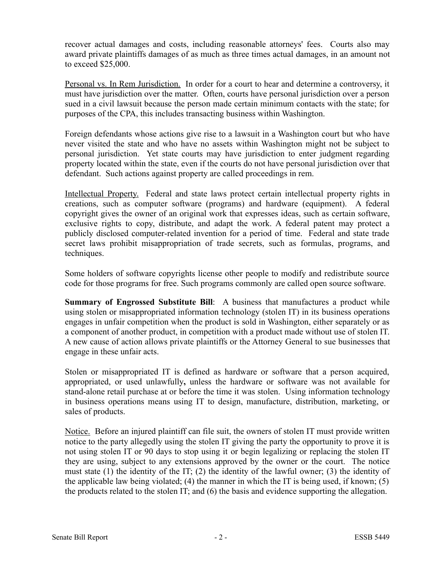recover actual damages and costs, including reasonable attorneys' fees. Courts also may award private plaintiffs damages of as much as three times actual damages, in an amount not to exceed \$25,000.

Personal vs. In Rem Jurisdiction. In order for a court to hear and determine a controversy, it must have jurisdiction over the matter. Often, courts have personal jurisdiction over a person sued in a civil lawsuit because the person made certain minimum contacts with the state; for purposes of the CPA, this includes transacting business within Washington.

Foreign defendants whose actions give rise to a lawsuit in a Washington court but who have never visited the state and who have no assets within Washington might not be subject to personal jurisdiction. Yet state courts may have jurisdiction to enter judgment regarding property located within the state, even if the courts do not have personal jurisdiction over that defendant. Such actions against property are called proceedings in rem.

Intellectual Property. Federal and state laws protect certain intellectual property rights in creations, such as computer software (programs) and hardware (equipment). A federal copyright gives the owner of an original work that expresses ideas, such as certain software, exclusive rights to copy, distribute, and adapt the work. A federal patent may protect a publicly disclosed computer-related invention for a period of time. Federal and state trade secret laws prohibit misappropriation of trade secrets, such as formulas, programs, and techniques.

Some holders of software copyrights license other people to modify and redistribute source code for those programs for free. Such programs commonly are called open source software.

**Summary of Engrossed Substitute Bill**: A business that manufactures a product while using stolen or misappropriated information technology (stolen IT) in its business operations engages in unfair competition when the product is sold in Washington, either separately or as a component of another product, in competition with a product made without use of stolen IT. A new cause of action allows private plaintiffs or the Attorney General to sue businesses that engage in these unfair acts.

Stolen or misappropriated IT is defined as hardware or software that a person acquired, appropriated, or used unlawfully**,** unless the hardware or software was not available for stand-alone retail purchase at or before the time it was stolen. Using information technology in business operations means using IT to design, manufacture, distribution, marketing, or sales of products.

Notice. Before an injured plaintiff can file suit, the owners of stolen IT must provide written notice to the party allegedly using the stolen IT giving the party the opportunity to prove it is not using stolen IT or 90 days to stop using it or begin legalizing or replacing the stolen IT they are using, subject to any extensions approved by the owner or the court. The notice must state (1) the identity of the IT; (2) the identity of the lawful owner; (3) the identity of the applicable law being violated; (4) the manner in which the IT is being used, if known; (5) the products related to the stolen IT; and (6) the basis and evidence supporting the allegation.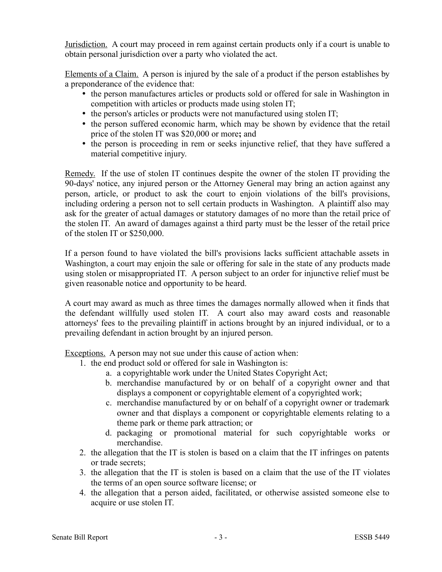Jurisdiction. A court may proceed in rem against certain products only if a court is unable to obtain personal jurisdiction over a party who violated the act.

Elements of a Claim. A person is injured by the sale of a product if the person establishes by a preponderance of the evidence that:

- the person manufactures articles or products sold or offered for sale in Washington in competition with articles or products made using stolen IT;
- the person's articles or products were not manufactured using stolen IT;
- the person suffered economic harm, which may be shown by evidence that the retail price of the stolen IT was \$20,000 or more**;** and
- the person is proceeding in rem or seeks injunctive relief, that they have suffered a material competitive injury.

Remedy. If the use of stolen IT continues despite the owner of the stolen IT providing the 90-days' notice, any injured person or the Attorney General may bring an action against any person, article, or product to ask the court to enjoin violations of the bill's provisions, including ordering a person not to sell certain products in Washington. A plaintiff also may ask for the greater of actual damages or statutory damages of no more than the retail price of the stolen IT. An award of damages against a third party must be the lesser of the retail price of the stolen IT or \$250,000.

If a person found to have violated the bill's provisions lacks sufficient attachable assets in Washington, a court may enjoin the sale or offering for sale in the state of any products made using stolen or misappropriated IT. A person subject to an order for injunctive relief must be given reasonable notice and opportunity to be heard.

A court may award as much as three times the damages normally allowed when it finds that the defendant willfully used stolen IT. A court also may award costs and reasonable attorneys' fees to the prevailing plaintiff in actions brought by an injured individual, or to a prevailing defendant in action brought by an injured person.

Exceptions. A person may not sue under this cause of action when:

- 1. the end product sold or offered for sale in Washington is:
	- a. a copyrightable work under the United States Copyright Act;
	- b. merchandise manufactured by or on behalf of a copyright owner and that displays a component or copyrightable element of a copyrighted work;
	- c. merchandise manufactured by or on behalf of a copyright owner or trademark owner and that displays a component or copyrightable elements relating to a theme park or theme park attraction; or
	- d. packaging or promotional material for such copyrightable works or merchandise.
- 2. the allegation that the IT is stolen is based on a claim that the IT infringes on patents or trade secrets;
- 3. the allegation that the IT is stolen is based on a claim that the use of the IT violates the terms of an open source software license; or
- 4. the allegation that a person aided, facilitated, or otherwise assisted someone else to acquire or use stolen IT.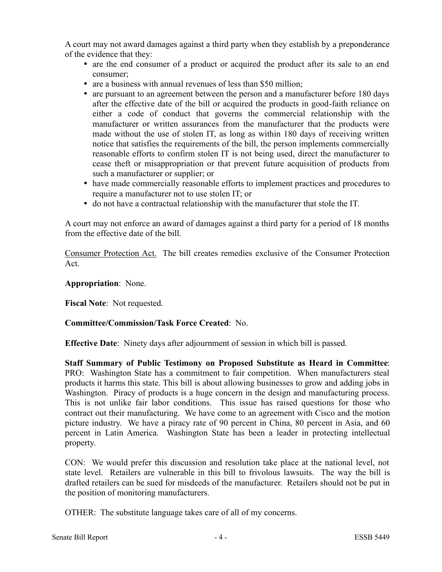A court may not award damages against a third party when they establish by a preponderance of the evidence that they:

- are the end consumer of a product or acquired the product after its sale to an end consumer;
- are a business with annual revenues of less than \$50 million;
- are pursuant to an agreement between the person and a manufacturer before 180 days after the effective date of the bill or acquired the products in good-faith reliance on either a code of conduct that governs the commercial relationship with the manufacturer or written assurances from the manufacturer that the products were made without the use of stolen IT, as long as within 180 days of receiving written notice that satisfies the requirements of the bill, the person implements commercially reasonable efforts to confirm stolen IT is not being used, direct the manufacturer to cease theft or misappropriation or that prevent future acquisition of products from such a manufacturer or supplier; or
- have made commercially reasonable efforts to implement practices and procedures to require a manufacturer not to use stolen IT; or
- do not have a contractual relationship with the manufacturer that stole the IT.

A court may not enforce an award of damages against a third party for a period of 18 months from the effective date of the bill.

Consumer Protection Act. The bill creates remedies exclusive of the Consumer Protection Act.

## **Appropriation**: None.

**Fiscal Note**: Not requested.

### **Committee/Commission/Task Force Created**: No.

**Effective Date**: Ninety days after adjournment of session in which bill is passed.

**Staff Summary of Public Testimony on Proposed Substitute as Heard in Committee**: PRO: Washington State has a commitment to fair competition. When manufacturers steal products it harms this state. This bill is about allowing businesses to grow and adding jobs in Washington. Piracy of products is a huge concern in the design and manufacturing process. This is not unlike fair labor conditions. This issue has raised questions for those who contract out their manufacturing. We have come to an agreement with Cisco and the motion picture industry. We have a piracy rate of 90 percent in China, 80 percent in Asia, and 60 percent in Latin America. Washington State has been a leader in protecting intellectual property.

CON: We would prefer this discussion and resolution take place at the national level, not state level. Retailers are vulnerable in this bill to frivolous lawsuits. The way the bill is drafted retailers can be sued for misdeeds of the manufacturer. Retailers should not be put in the position of monitoring manufacturers.

OTHER: The substitute language takes care of all of my concerns.